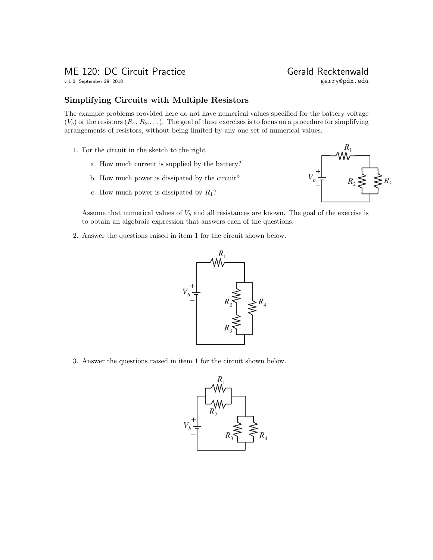v 1.0: September 29, 2018

# ME 120: DC Circuit Practice<br>
v 1.0: September 29, 2018<br>
gerry@pdx.edu

### Simplifying Circuits with Multiple Resistors

The example problems provided here do not have numerical values specified for the battery voltage  $(V_b)$  or the resistors  $(R_1, R_2,...)$ . The goal of these exercises is to focus on a procedure for simplifying arrangements of resistors, without being limited by any one set of numerical values.

- 1. For the circuit in the sketch to the right
	- a. How much current is supplied by the battery?
	- b. How much power is dissipated by the circuit?
	- c. How much power is dissipated by  $R_1$ ?



Assume that numerical values of  $V_b$  and all resistances are known. The goal of the exercise is to obtain an algebraic expression that answers each of the questions.

2. Answer the questions raised in item 1 for the circuit shown below.



3. Answer the questions raised in item 1 for the circuit shown below.

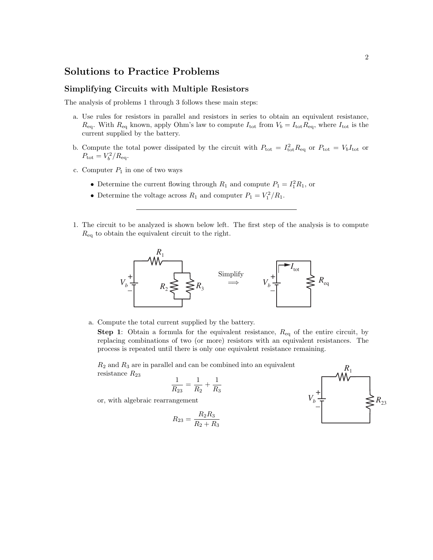## Solutions to Practice Problems

#### Simplifying Circuits with Multiple Resistors

The analysis of problems 1 through 3 follows these main steps:

- a. Use rules for resistors in parallel and resistors in series to obtain an equivalent resistance,  $R_{\text{eq}}$ . With  $R_{\text{eq}}$  known, apply Ohm's law to compute  $I_{\text{tot}}$  from  $V_b = I_{\text{tot}} R_{\text{eq}}$ , where  $I_{\text{tot}}$  is the current supplied by the battery.
- b. Compute the total power dissipated by the circuit with  $P_{\text{tot}} = I_{\text{tot}}^2 R_{\text{eq}}$  or  $P_{\text{tot}} = V_b I_{\text{tot}}$  or  $P_{\text{tot}} = V_b^2 / R_{\text{eq}}.$
- c. Computer  $P_1$  in one of two ways
	- Determine the current flowing through  $R_1$  and compute  $P_1 = I_1^2 R_1$ , or
	- Determine the voltage across  $R_1$  and computer  $P_1 = V_1^2/R_1$ .
- 1. The circuit to be analyzed is shown below left. The first step of the analysis is to compute  $R_{\text{eq}}$  to obtain the equivalent circuit to the right.



a. Compute the total current supplied by the battery.

**Step 1:** Obtain a formula for the equivalent resistance,  $R_{eq}$  of the entire circuit, by replacing combinations of two (or more) resistors with an equivalent resistances. The process is repeated until there is only one equivalent resistance remaining.

 $R_2$  and  $R_3$  are in parallel and can be combined into an equivalent resistance  $R_{23}$ 

$$
\frac{1}{R_{23}}=\frac{1}{R_2}+\frac{1}{R_3}
$$

or, with algebraic rearrangement

$$
R_{23} = \frac{R_2 R_3}{R_2 + R_3}
$$

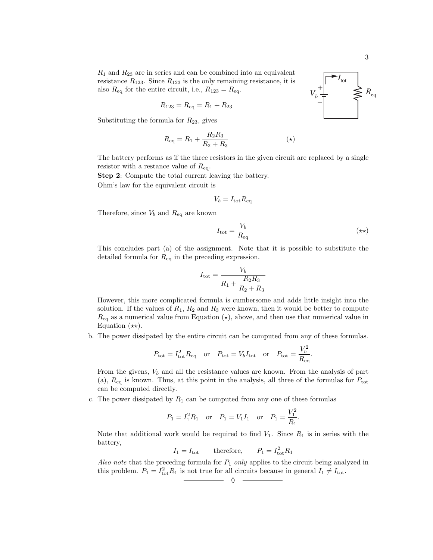$R_1$  and  $R_{23}$  are in series and can be combined into an equivalent resistance  $R_{123}$ . Since  $R_{123}$  is the only remaining resistance, it is also  $R_{eq}$  for the entire circuit, i.e.,  $R_{123} = R_{eq}$ .

$$
R_{123} = R_{\text{eq}} = R_1 + R_{23}
$$

Substituting the formula for  $R_{23}$ , gives

$$
R_{\text{eq}} = R_1 + \frac{R_2 R_3}{R_2 + R_3} \tag{(*)}
$$

The battery performs as if the three resistors in the given circuit are replaced by a single resistor with a restance value of  $R_{\text{eq}}$ .

Step 2: Compute the total current leaving the battery. Ohm's law for the equivalent circuit is

$$
V_b = I_{\rm tot} R_{\rm eq}
$$

Therefore, since  $V_b$  and  $R_{\text{eq}}$  are known

$$
I_{\text{tot}} = \frac{V_b}{R_{\text{eq}}} \tag{**}
$$

This concludes part (a) of the assignment. Note that it is possible to substitute the detailed formula for  $R_{\text{eq}}$  in the preceding expression.

$$
I_{\text{tot}} = \frac{V_b}{R_1 + \frac{R_2 R_3}{R_2 + R_3}}
$$

However, this more complicated formula is cumbersome and adds little insight into the solution. If the values of  $R_1$ ,  $R_2$  and  $R_3$  were known, then it would be better to compute  $R_{\text{eq}}$  as a numerical value from Equation ( $\star$ ), above, and then use that numerical value in Equation  $(\star \star)$ .

b. The power dissipated by the entire circuit can be computed from any of these formulas.

$$
P_{\text{tot}} = I_{\text{tot}}^2 R_{\text{eq}}
$$
 or  $P_{\text{tot}} = V_b I_{\text{tot}}$  or  $P_{\text{tot}} = \frac{V_b^2}{R_{\text{eq}}}$ .

From the givens,  $V_b$  and all the resistance values are known. From the analysis of part (a),  $R_{eq}$  is known. Thus, at this point in the analysis, all three of the formulas for  $P_{tot}$ can be computed directly.

c. The power dissipated by  $R_1$  can be computed from any one of these formulas

$$
P_1 = I_1^2 R_1
$$
 or  $P_1 = V_1 I_1$  or  $P_1 = \frac{V_1^2}{R_1}$ .

Note that additional work would be required to find  $V_1$ . Since  $R_1$  is in series with the battery,

$$
I_1 = I_{\text{tot}} \qquad \text{therefore}, \qquad P_1 = I_{\text{tot}}^2 R_1
$$

Also note that the preceding formula for  $P_1$  only applies to the circuit being analyzed in this problem.  $P_1 = I_{\text{tot}}^2 R_1$  is not true for all circuits because in general  $I_1 \neq I_{\text{tot}}$ .

$$
\cdot \quad \diamond \quad -
$$

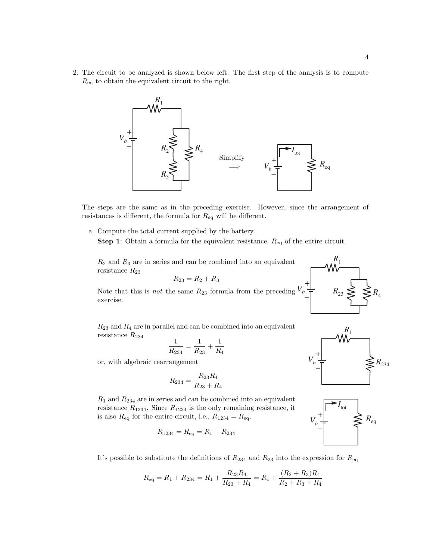2. The circuit to be analyzed is shown below left. The first step of the analysis is to compute  $R_{\text{eq}}$  to obtain the equivalent circuit to the right.



The steps are the same as in the preceding exercise. However, since the arrangement of resistances is different, the formula for  $R_{eq}$  will be different.

a. Compute the total current supplied by the battery. **Step 1:** Obtain a formula for the equivalent resistance,  $R_{eq}$  of the entire circuit.

 $R_2$  and  $R_3$  are in series and can be combined into an equivalent resistance  $R_{23}$ 

$$
R_{23}=R_2+R_3
$$

Note that this is *not* the same  $R_{23}$  formula from the preceding exercise. +  $\frac{V_b}{\overline{C}}$ 

 $R_{23}$  and  $R_4$  are in parallel and can be combined into an equivalent resistance  $R_{234}$ 

$$
\frac{1}{R_{234}} = \frac{1}{R_{23}} + \frac{1}{R_4}
$$

or, with algebraic rearrangement

$$
R_{234} = \frac{R_{23}R_4}{R_{23} + R_4}
$$

 $R_1$  and  $R_{234}$  are in series and can be combined into an equivalent resistance  $R_{1234}$ . Since  $R_{1234}$  is the only remaining resistance, it is also  $R_{\text{eq}}$  for the entire circuit, i.e.,  $R_{1234} = R_{\text{eq}}$ .

$$
R_{1234} = R_{\text{eq}} = R_1 + R_{234}
$$



$$
R_{\text{eq}} = R_1 + R_{234} = R_1 + \frac{R_{23}R_4}{R_{23} + R_4} = R_1 + \frac{(R_2 + R_3)R_4}{R_2 + R_3 + R_4}
$$



 $R_{23} \leq \leq R_4$ 

 $R_1$ 

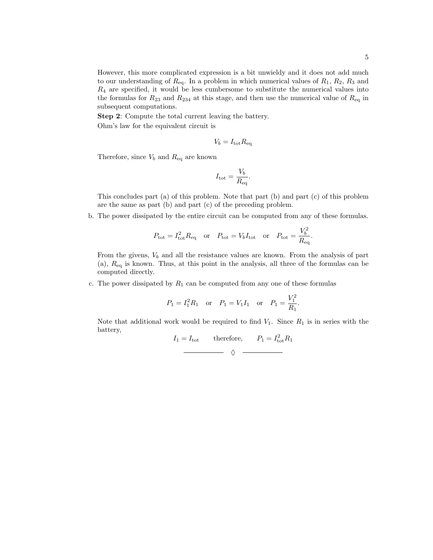However, this more complicated expression is a bit unwieldy and it does not add much to our understanding of  $R_{eq}$ . In a problem in which numerical values of  $R_1$ ,  $R_2$ ,  $R_3$  and  $R_4$  are specified, it would be less cumbersome to substitute the numerical values into the formulas for  $R_{23}$  and  $R_{234}$  at this stage, and then use the numerical value of  $R_{eq}$  in subsequent computations.

Step 2: Compute the total current leaving the battery. Ohm's law for the equivalent circuit is

$$
V_b = I_{\text{tot}} R_{\text{eq}}
$$

Therefore, since  $V_b$  and  $R_{\text{eq}}$  are known

$$
I_{\text{tot}} = \frac{V_b}{R_{\text{eq}}}.
$$

This concludes part (a) of this problem. Note that part (b) and part (c) of this problem are the same as part (b) and part (c) of the preceding problem.

b. The power dissipated by the entire circuit can be computed from any of these formulas.

$$
P_{\text{tot}} = I_{\text{tot}}^2 R_{\text{eq}} \quad \text{or} \quad P_{\text{tot}} = V_b I_{\text{tot}} \quad \text{or} \quad P_{\text{tot}} = \frac{V_b^2}{R_{\text{eq}}}
$$

.

From the givens,  $V_b$  and all the resistance values are known. From the analysis of part  $(a)$ ,  $R_{eq}$  is known. Thus, at this point in the analysis, all three of the formulas can be computed directly.

c. The power dissipated by  $R_1$  can be computed from any one of these formulas

$$
P_1 = I_1^2 R_1
$$
 or  $P_1 = V_1 I_1$  or  $P_1 = \frac{V_1^2}{R_1}$ .

Note that additional work would be required to find  $V_1$ . Since  $R_1$  is in series with the battery,

$$
I_1 = I_{\text{tot}} \qquad \text{therefore}, \qquad P_1 = I_{\text{tot}}^2 R_1
$$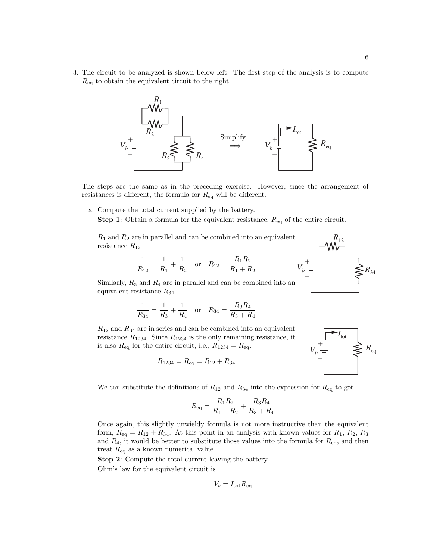3. The circuit to be analyzed is shown below left. The first step of the analysis is to compute  $R_{\text{eq}}$  to obtain the equivalent circuit to the right.



The steps are the same as in the preceding exercise. However, since the arrangement of resistances is different, the formula for  $R_{\text{eq}}$  will be different.

a. Compute the total current supplied by the battery.

**Step 1:** Obtain a formula for the equivalent resistance,  $R_{eq}$  of the entire circuit.

 $R_1$  and  $R_2$  are in parallel and can be combined into an equivalent resistance  $R_{12}$ 

$$
\frac{1}{R_{12}} = \frac{1}{R_1} + \frac{1}{R_2} \quad \text{or} \quad R_{12} = \frac{R_1 R_2}{R_1 + R_2}
$$



Similarly,  $R_3$  and  $R_4$  are in parallel and can be combined into an equivalent resistance  $R_{34}$ 

$$
\frac{1}{R_{34}} = \frac{1}{R_3} + \frac{1}{R_4} \quad \text{or} \quad R_{34} = \frac{R_3 R_4}{R_3 + R_4}
$$

 $R_{12}$  and  $R_{34}$  are in series and can be combined into an equivalent resistance  $R_{1234}$ . Since  $R_{1234}$  is the only remaining resistance, it is also  $R_{\text{eq}}$  for the entire circuit, i.e.,  $R_{1234} = R_{\text{eq}}$ .

$$
R_{1234} = R_{\text{eq}} = R_{12} + R_{34}
$$



We can substitute the definitions of  $R_{12}$  and  $R_{34}$  into the expression for  $R_{eq}$  to get

$$
R_{\text{eq}} = \frac{R_1 R_2}{R_1 + R_2} + \frac{R_3 R_4}{R_3 + R_4}
$$

Once again, this slightly unwieldy formula is not more instructive than the equivalent form,  $R_{eq} = R_{12} + R_{34}$ . At this point in an analysis with known values for  $R_1$ ,  $R_2$ ,  $R_3$ and  $R_4$ , it would be better to substitute those values into the formula for  $R_{eq}$ , and then treat  $R_{\text{eq}}$  as a known numerical value.

Step 2: Compute the total current leaving the battery. Ohm's law for the equivalent circuit is

$$
V_b = I_{\text{tot}} R_{\text{eq}}
$$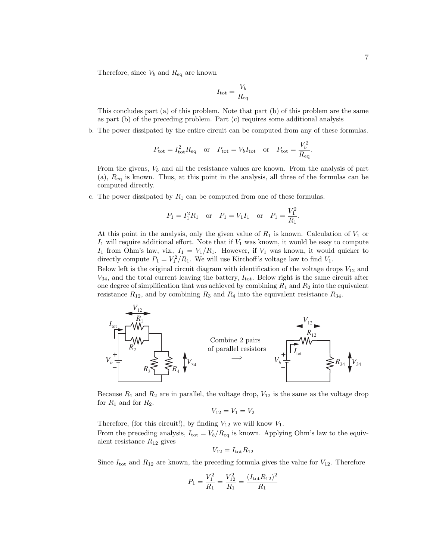Therefore, since  $V_b$  and  $R_{\text{eq}}$  are known

$$
I_{\rm tot} = \frac{V_b}{R_{\rm eq}}
$$

This concludes part (a) of this problem. Note that part (b) of this problem are the same as part (b) of the preceding problem. Part (c) requires some additional analysis

b. The power dissipated by the entire circuit can be computed from any of these formulas.

$$
P_{\text{tot}} = I_{\text{tot}}^2 R_{\text{eq}}
$$
 or  $P_{\text{tot}} = V_b I_{\text{tot}}$  or  $P_{\text{tot}} = \frac{V_b^2}{R_{\text{eq}}}$ 

From the givens,  $V_b$  and all the resistance values are known. From the analysis of part  $(a)$ ,  $R_{eq}$  is known. Thus, at this point in the analysis, all three of the formulas can be computed directly.

c. The power dissipated by  $R_1$  can be computed from one of these formulas.

$$
P_1 = I_1^2 R_1
$$
 or  $P_1 = V_1 I_1$  or  $P_1 = \frac{V_1^2}{R_1}$ .

At this point in the analysis, only the given value of  $R_1$  is known. Calculation of  $V_1$  or  $I_1$  will require additional effort. Note that if  $V_1$  was known, it would be easy to compute  $I_1$  from Ohm's law, viz.,  $I_1 = V_1/R_1$ . However, if  $V_1$  was known, it would quicker to directly compute  $P_1 = V_1^2/R_1$ . We will use Kirchoff's voltage law to find  $V_1$ .

Below left is the original circuit diagram with identification of the voltage drops  $V_{12}$  and  $V_{34}$ , and the total current leaving the battery,  $I_{\text{tot}}$ . Below right is the same circuit after one degree of simplification that was achieved by combining  $R_1$  and  $R_2$  into the equivalent resistance  $R_{12}$ , and by combining  $R_3$  and  $R_4$  into the equivalent resistance  $R_{34}$ .



Because  $R_1$  and  $R_2$  are in parallel, the voltage drop,  $V_{12}$  is the same as the voltage drop for  $R_1$  and for  $R_2$ .

$$
V_{12}=V_1=V_2
$$

Therefore, (for this circuit!), by finding  $V_{12}$  we will know  $V_1$ . From the preceding analysis,  $I_{\text{tot}} = V_b/R_{\text{eq}}$  is known. Applying Ohm's law to the equivalent resistance  $R_{12}$  gives

$$
V_{12} = I_{\text{tot}} R_{12}
$$

Since  $I_{\text{tot}}$  and  $R_{12}$  are known, the preceding formula gives the value for  $V_{12}$ . Therefore

$$
P_1 = \frac{V_1^2}{R_1} = \frac{V_{12}^2}{R_1} = \frac{(I_{\text{tot}}R_{12})^2}{R_1}
$$

.